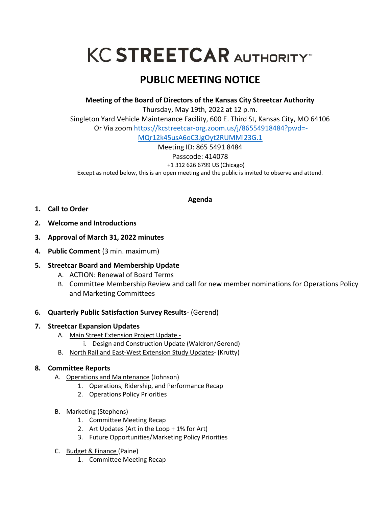# **KC STREETCAR AUTHORITY**

## **PUBLIC MEETING NOTICE**

**Meeting of the Board of Directors of the Kansas City Streetcar Authority**

Thursday, May 19th, 2022 at 12 p.m. Singleton Yard Vehicle Maintenance Facility, 600 E. Third St, Kansas City, MO 64106 Or Via zoom [https://kcstreetcar-org.zoom.us/j/86554918484?pwd=-](https://kcstreetcar-org.zoom.us/j/86554918484?pwd=-MQr12k45usA6oC3JgOyt2RUMMi23G.1) [MQr12k45usA6oC3JgOyt2RUMMi23G.1](https://kcstreetcar-org.zoom.us/j/86554918484?pwd=-MQr12k45usA6oC3JgOyt2RUMMi23G.1)

Meeting ID: 865 5491 8484 Passcode: 414078 +1 312 626 6799 US (Chicago) Except as noted below, this is an open meeting and the public is invited to observe and attend.

**Agenda**

- **1. Call to Order**
- **2. Welcome and Introductions**
- **3. Approval of March 31, 2022 minutes**
- **4. Public Comment** (3 min. maximum)

### **5. Streetcar Board and Membership Update**

- A. ACTION: Renewal of Board Terms
- B. Committee Membership Review and call for new member nominations for Operations Policy and Marketing Committees

### **6. Quarterly Public Satisfaction Survey Results**- (Gerend)

### **7. Streetcar Expansion Updates**

- A. Main Street Extension Project Update
	- i. Design and Construction Update (Waldron/Gerend)
- B. North Rail and East-West Extension Study Updates**- (**Krutty)

### **8. Committee Reports**

- A. Operations and Maintenance (Johnson)
	- 1. Operations, Ridership, and Performance Recap
	- 2. Operations Policy Priorities
- B. Marketing (Stephens)
	- 1. Committee Meeting Recap
	- 2. Art Updates (Art in the Loop + 1% for Art)
	- 3. Future Opportunities/Marketing Policy Priorities
- C. Budget & Finance (Paine)
	- 1. Committee Meeting Recap